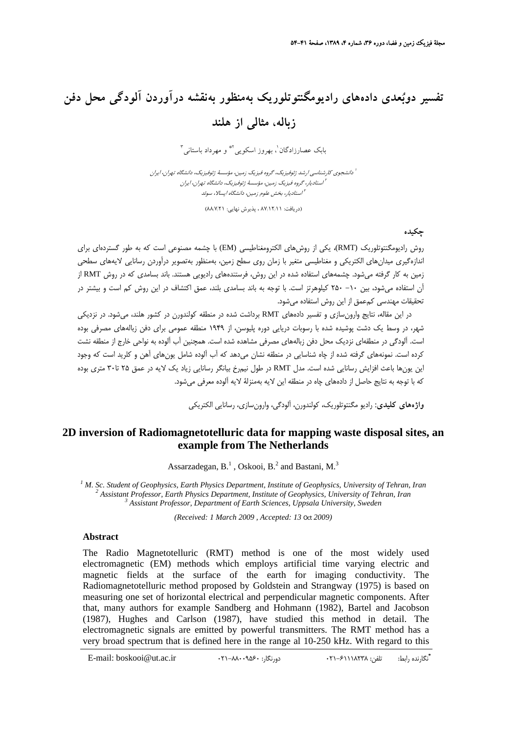# **تفسير دوبعدي دادههاي راديومگنتوتلوريك بهمنظور بهنقشه درآوردن آلودگي محل دفن زباله، مثالي از هلند**

بابک عصارزادگان <sup>י</sup>، بهروز اسکويي<sup>×</sup> و مهرداد باستاني <del>"</del>

دانشجوي كارشناسي ارشد ژئوفيزيك، گروه فيزيك زمين، مؤسسة ژئوفيزيك، دانشگاه تهران، ايران <sup>1</sup> استاديار، گروه فيزيك زمين، مؤسسة ژئوفيزيك، دانشگاه تهران، ايران <sup>2</sup> استاديار، بخش علوم زمين، دانشگاه اپسالا، سوئد <sup>3</sup>

(دريافت: 87/12/11 ، پذيرش نهايي: 88/7/21)

## **چكيده**

روش راديومگنتوتلوريك (RMT(، يكي از روشهاي الكترومغناطيسي (EM (با چشمه مصنوعي است كه به طور گستردهاي براي اندازهگيري ميدانهاي الكتريكي و مغناطيسي متغير با زمان روي سطح زمين، بهمنظور بهتصوير درآوردن رسانايي لايههاي سطحي زمين به كار گرفته ميشود. چشمههاي استفاده شده در اين روش، فرستندههاي راديويي هستند. باند بسامدي كه در روش RMT از آن استفاده ميشود، بين -10 250 كيلوهرتز است. با توجه به باند بسامدي بلند، عمق اكتشاف در اين روش كم است و بيشتر در تحقيقات مهندسي كمعمق از اين روش استفاده ميشود.

در اين مقاله، نتايج وارونسازي و تفسير دادههاي RMT برداشت شده در منطقه كولندورن در كشور هلند، ميشود. در نزديكي شهر، در وسط يك دشت پوشيده شده با رسوبات دريايي دوره پليوسن، از 1949 منطقه عمومي براي دفن زبالههاي مصرفي بوده است. آلودگي در منطقهاي نزديك محل دفن زبالههاي مصرفي مشاهده شده است. همچنين آب آلوده به نواحي خارج از منطقه نشت كرده است. نمونههاي گرفته شده از چاه شناسايي در منطقه نشان ميدهد كه آب آلوده شامل يونهاي آهن و كلريد است كه وجود اين يونها باعث افزايش رسانايي شده است. مدل RMT در طول نيمرخ بيانگر رسانايي زياد يك لايه در عمق 25 تا30 متري بوده كه با توجه به نتايج حاصل از دادههاي چاه در منطقه اين لايه بهمنزلة لايه آلوده معرفي ميشود.

**واژههاي كليدي:** راديو مگنتوتلوريك، كولندورن، آلودگي، وارونسازي، رسانايي الكتريكي

# **2D inversion of Radiomagnetotelluric data for mapping waste disposal sites, an example from The Netherlands**

Assarzadegan,  $B<sup>1</sup>$ , Oskooi,  $B<sup>2</sup>$  and Bastani, M.<sup>3</sup>

<sup>1</sup> M. Sc. Student of Geophysics, Earth Physics Department, Institute of Geophysics, University of Tehran, Iran <sup>2</sup> Aggistant Professor, Earth Physics Department, Institute of Geophysics, University of Tehran, Iran <sup>2</sup> Assistant Professor, Earth Physics Department, Institute of Geophysics, University of Tehran, Iran  *Assistant Professor, Department of Earth Sciences, Uppsala University, Sweden* 

*(Received: 1 March 2009 , Accepted: 13* Oct *2009)* 

#### **Abstract**

The Radio Magnetotelluric (RMT) method is one of the most widely used electromagnetic (EM) methods which employs artificial time varying electric and magnetic fields at the surface of the earth for imaging conductivity. The Radiomagnetotelluric method proposed by Goldstein and Strangway (1975) is based on measuring one set of horizontal electrical and perpendicular magnetic components. After that, many authors for example Sandberg and Hohmann (1982), Bartel and Jacobson (1987), Hughes and Carlson (1987), have studied this method in detail. The electromagnetic signals are emitted by powerful transmitters. The RMT method has a very broad spectrum that is defined here in the range al 10-250 kHz. With regard to this

\* .<br>تلكارنده رابط: تلفن: ۴۶۱۱۸۲۳۸ : ۴۱-88009 : 021-88009 : ۰۲۱-۸۸۰۰۹۵۶۰ : دهرنگار: ۴۱۵-۸۶۲ : E-mail: boskooi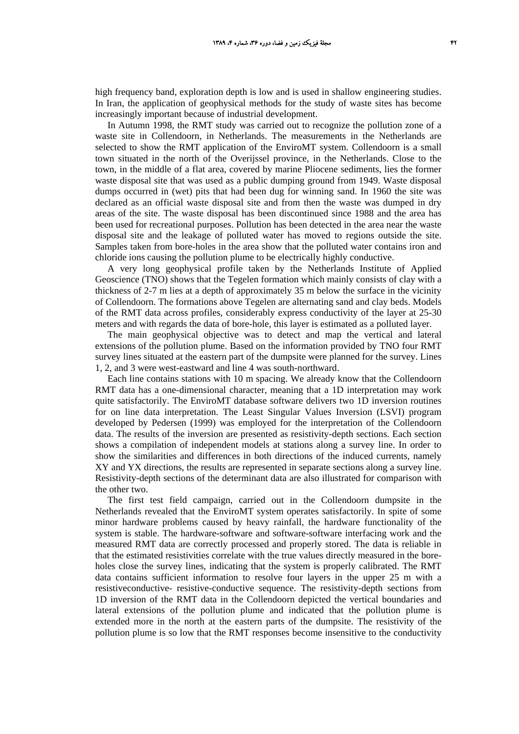high frequency band, exploration depth is low and is used in shallow engineering studies. In Iran, the application of geophysical methods for the study of waste sites has become increasingly important because of industrial development.

In Autumn 1998, the RMT study was carried out to recognize the pollution zone of a waste site in Collendoorn, in Netherlands. The measurements in the Netherlands are selected to show the RMT application of the EnviroMT system. Collendoorn is a small town situated in the north of the Overijssel province, in the Netherlands. Close to the town, in the middle of a flat area, covered by marine Pliocene sediments, lies the former waste disposal site that was used as a public dumping ground from 1949. Waste disposal dumps occurred in (wet) pits that had been dug for winning sand. In 1960 the site was declared as an official waste disposal site and from then the waste was dumped in dry areas of the site. The waste disposal has been discontinued since 1988 and the area has been used for recreational purposes. Pollution has been detected in the area near the waste disposal site and the leakage of polluted water has moved to regions outside the site. Samples taken from bore-holes in the area show that the polluted water contains iron and chloride ions causing the pollution plume to be electrically highly conductive.

A very long geophysical profile taken by the Netherlands Institute of Applied Geoscience (TNO) shows that the Tegelen formation which mainly consists of clay with a thickness of 2-7 m lies at a depth of approximately 35 m below the surface in the vicinity of Collendoorn. The formations above Tegelen are alternating sand and clay beds. Models of the RMT data across profiles, considerably express conductivity of the layer at 25-30 meters and with regards the data of bore-hole, this layer is estimated as a polluted layer.

The main geophysical objective was to detect and map the vertical and lateral extensions of the pollution plume. Based on the information provided by TNO four RMT survey lines situated at the eastern part of the dumpsite were planned for the survey. Lines 1, 2, and 3 were west-eastward and line 4 was south-northward.

Each line contains stations with 10 m spacing. We already know that the Collendoorn RMT data has a one-dimensional character, meaning that a 1D interpretation may work quite satisfactorily. The EnviroMT database software delivers two 1D inversion routines for on line data interpretation. The Least Singular Values Inversion (LSVI) program developed by Pedersen (1999) was employed for the interpretation of the Collendoorn data. The results of the inversion are presented as resistivity-depth sections. Each section shows a compilation of independent models at stations along a survey line. In order to show the similarities and differences in both directions of the induced currents, namely XY and YX directions, the results are represented in separate sections along a survey line. Resistivity-depth sections of the determinant data are also illustrated for comparison with the other two.

The first test field campaign, carried out in the Collendoorn dumpsite in the Netherlands revealed that the EnviroMT system operates satisfactorily. In spite of some minor hardware problems caused by heavy rainfall, the hardware functionality of the system is stable. The hardware-software and software-software interfacing work and the measured RMT data are correctly processed and properly stored. The data is reliable in that the estimated resistivities correlate with the true values directly measured in the boreholes close the survey lines, indicating that the system is properly calibrated. The RMT data contains sufficient information to resolve four layers in the upper 25 m with a resistiveconductive- resistive-conductive sequence. The resistivity-depth sections from 1D inversion of the RMT data in the Collendoorn depicted the vertical boundaries and lateral extensions of the pollution plume and indicated that the pollution plume is extended more in the north at the eastern parts of the dumpsite. The resistivity of the pollution plume is so low that the RMT responses become insensitive to the conductivity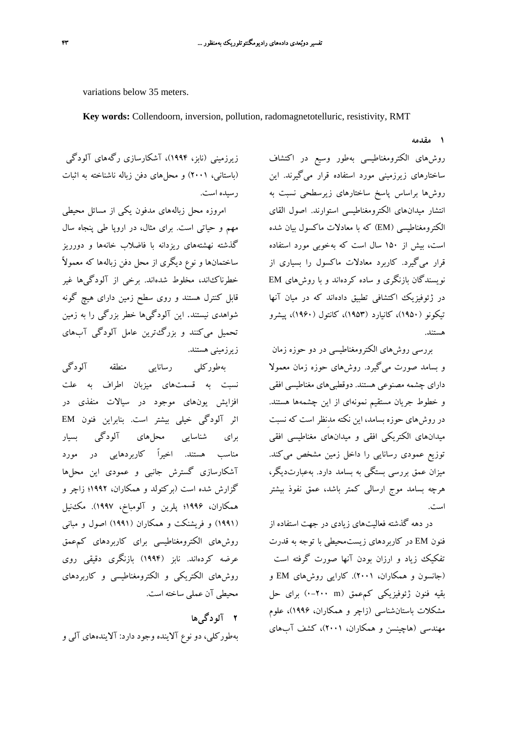variations below 35 meters.

**Key words:** Collendoorn, inversion, pollution, radomagnetotelluric, resistivity, RMT

**1 مقدمه**

روشهاي الكترومغناطيسي بهطور وسيع در اكتشاف ساختارهاي زيرزميني مورد استفاده قرار ميگيرند. اين روشها براساس پاسخ ساختارهاي زيرسطحي نسبت به انتشار ميدانهاي الكترومغناطيسي استوارند. اصول القاي الكترومغناطيسي (EM (كه با معادلات ماكسول بيان شده است، بيش از 150 سال است كه بهخوبي مورد استفاده قرار ميگيرد. كاربرد معادلات ماكسول را بسياري از نويسندگان بازنگري و ساده كردهاند و با روشهاي EM در ژئوفيزيك اكتشافي تطبيق دادهاند كه در ميان آنها تيكونو (1950)، كانيارد (1953)، كانتول (1960)، پيشرو هستند.

بررسي روشهاي الكترومغناطيسي در دو حوزه زمان و بسامد صورت ميگيرد. روشهاي حوزه زمان معمولا داراي چشمه مصنوعي هستند. دوقطبيهاي مغناطيسي افقي و خطوط جريان مستقيم نمونهاي از اين چشمهها هستند. در روشهاي حوزه بسامد، اين نكته مدِنظر است كه نسبت ميدانهاي الكتريكي افقي و ميدانهاي مغناطيسي افقي توزيع عمودي رسانايي را داخل زمين مشخص ميكند. ميزان عمق بررسي بستگي به بسامد دارد. بهعبارتديگر، هرچه بسامد موج ارسالي كمتر باشد، عمق نفوذ بيشتر است.

در دهه گذشته فعاليتهاي زيادي در جهت استفاده از فنون EM در كاربردهاي زيستمحيطي با توجه به قدرت تفكيك زياد و ارزان بودن آنها صورت گرفته است (جانسون و همكاران، 2001). كارايي روشهاي EM و بقيه فنون ژئوفيزيكي كمعمق (m 0-200 (براي حل مشكلات باستانشناسي (زاچر و همكاران، 1996)، علوم مهندسي (هاچينسن و همكاران، 2001)، كشف آبهاي

زيرزميني (نابز، 1994)، آشكارسازي رگههاي آلودگي (باستاني، 2001) و محلهاي دفن زباله ناشناخته به اثبات رسيده است.

امروزه محل زبالههاي مدفون يكي از مسائل محيطي مهم و حياتي است. براي مثال، در اروپا طي پنجاه سال گذشته نهشتههاي ريزدانه با فاضلاب خانهها و دورريز ساختمانها و نوع ديگري از محل دفن زبالهها كه معمولاً خطرناكاند، مخلوط شدهاند. برخي از آلودگيها غير قابل كنترل هستند و روي سطح زمين داراي هيچ گونه شواهدي نيستند. اين آلودگيها خطر بزرگي را به زمين تحميل ميكنند و بزرگترين عامل آلودگي آبهاي زيرزميني هستند.

بهطوركلي رسانايي منطقه آلودگي نسبت به قسمتهاي ميزبان اطراف به علت افزايش يونهاي موجود در سيالات منفذي در اثر آلودگي خيلي بيشتر است. بنابراين فنون EM براي شناسايي محلهاي آلودگي بسيار مناسب هستند. اخيراً كاربردهايي در مورد آشكارسازي گسترش جانبي و عمودي اين محلها گزارش شده است (بركتولد و همكاران، 1992؛ زاچر و همكاران، 1996؛ پلرين و آلومباخ، 1997). مكنيل (1991) و فريشنكت و همكاران (1991) اصول و مباني روشهاي الكترومغناطيسي براي كاربردهاي كمعمق عرضه كردهاند. نابز (1994) بازنگري دقيقي روي روشهاي الكتريكي و الكترومغناطيسي و كاربردهاي محيطي آن عملي ساخته است.

**2 آلودگيها** بهطوركلي، دو نوع آلاينده وجود دارد: آلايندههاي آلي و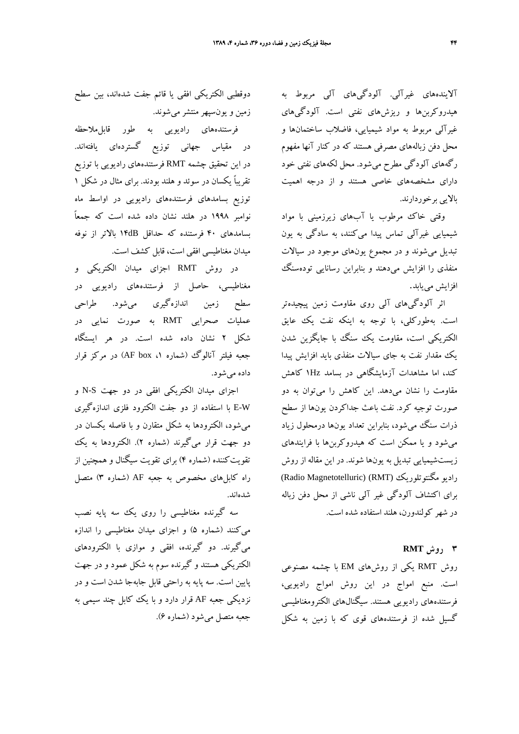آلايندههاي غيرآلي. آلودگيهاي آلي مربوط به هيدروكربنها و ريزشهاي نفتي است. آلودگيهاي غيرآلي مربوط به مواد شيميايي، فاضلاب ساختمانها و محل دفن زبالههاي مصرفي هستند كه در كنار آنها مفهوم رگههاي آلودگي مطرح ميشود. محل لكههاي نفتي خود داراي مشخصههاي خاصي هستند و از درجه اهميت بالايي برخوردارند.

وقتي خاك مرطوب يا آبهاي زيرزميني با مواد شيميايي غيرآلي تماس پيدا ميكنند، به سادگي به يون تبديل ميشوند و در مجموع يونهاي موجود در سيالات منفذي را افزايش ميدهند و بنابراين رسانايي تودهسنگ افزايش مييابد.

اثر آلودگيهاي آلي روي مقاومت زمين پيچيدهتر است. بهطوركلي، با توجه به اينكه نفت يك عايق الكتريكي است، مقاومت يك سنگ با جايگزين شدن يك مقدار نفت به جاي سيالات منفذي بايد افزايش پيدا كند، اما مشاهدات آزمايشگاهي در بسامد Hz1 كاهش مقاومت را نشان ميدهد. اين كاهش را ميتوان به دو صورت توجيه كرد. نفت باعث جداكردن يونها از سطح ذرات سنگ ميشود، بنابراين تعداد يونها درمحلول زياد ميشود و يا ممكن است كه هيدروكربنها با فرايندهاي زيستشيميايي تبديل به يونها شوند. در اين مقاله از روش (Radio Magnetotelluric) (RMT) مگنتوتلوريك راديو براي اكتشاف آلودگي غير آلي ناشي از محل دفن زباله در شهر كولندورن، هلند استفاده شده است.

### **3 روش RMT**

روش RMT يكي از روشهاي EM با چشمه مصنوعي است. منبع امواج در اين روش امواج راديويي، فرستندههاي راديويي هستند. سيگنالهاي الكترومغناطيسي گسيل شده از فرستندههاي قوي كه با زمين به شكل

دوقطبي الكتريكي افقي يا قائم جفت شدهاند، بين سطح زمين و يونسپهرمنتشر ميشوند.

فرستندههاي راديوي<sub>ي</sub> به طور قابل**ملاحظه** در مقياس جهاني توزيع گستردهاي يافتهاند. در اين تحقيق چشمه RMT فرستندههاي راديويي با توزيع تقريباً يكسان در سوئد و هلند بودند. براي مثال در شكل 1 توزيع بسامدهاي فرستندههاي راديويي در اواسط ماه نوامبر 1998 در هلند نشان داده شده است كه جمعاً بسامدهاي 40 فرستنده كه حداقل dB14 بالاتر از نوفه ميدان مغناطيسي افقي است، قابل كشف است.

در روش RMT اجزاي ميدان الكتريكي و مغناطيسي، حاصل از فرستندههاي راديويي در سطح زمين اندازهگيري ميشود. طراحي عمليات صحرايي RMT به صورت نمايي در شكل 2 نشان داده شده است. در هر ايستگاه جعبه فيلتر آنالوگ (شماره ۱، AF box) در مركز قرار داده ميشود.

اجزاي ميدان الكتريكي افقي در دو جهت S-N و W-E با استفاده از دو جفت الكترود فلزي اندازهگيري ميشود، الكترودها به شكل متقارن و با فاصله يكسان در دو جهت قرار ميگيرند (شماره 2). الكترودها به يك تقويتكننده (شماره 4) براي تقويت سيگنال و همچنين از راه كابلهاي مخصوص به جعبه AF) شماره 3) متصل شدهاند.

سه گيرنده مغناطيسي را روي يك سه پايه نصب ميكنند (شماره 5) و اجزاي ميدان مغناطيسي را اندازه ميگيرند. دو گيرنده، افقي و موازي با الكترودهاي الكتريكي هستند و گيرنده سوم به شكل عمود و در جهت پايين است. سه پايه به راحتي قابل جابهجا شدن است و در نزديكي جعبه AF قرار دارد و با يك كابل چند سيمي به جعبه متصل ميشود (شماره 6).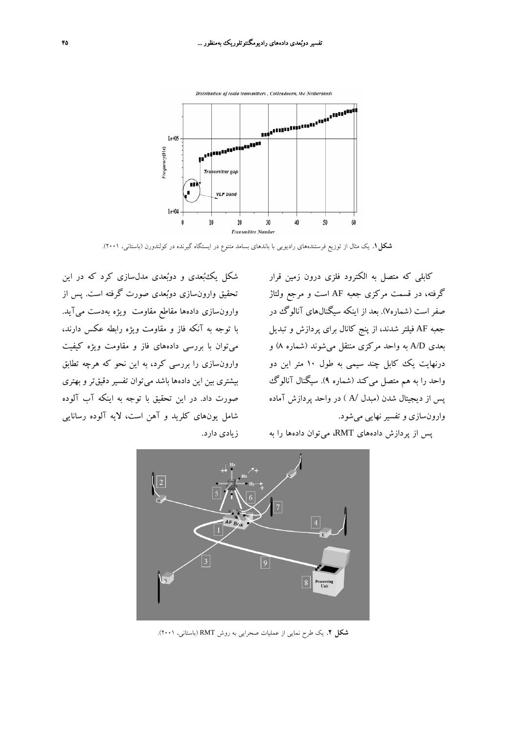

**شكل.1** يك مثال از توزيع فرستندههاي راديويي با باندهاي بسامد متنوع در ايستگاه گيرنده در كولندورن (باستاني، 2001).

كابلي كه متصل به الكترود فلزي درون زمين قرار گرفته، در قسمت مركزي جعبه AF است و مرجع ولتاژ صفر است (شماره7). بعد از اينكه سيگنالهاي آنالوگ در جعبه AF فيلتر شدند، از پنج كانال براي پردازش و تبديل بعدي D/A به واحد مركزي منتقل ميشوند (شماره 8) و درنهايت يك كابل چند سيمي به طول 10 متر اين دو واحد را به هم متصل ميكند (شماره 9). سيگنال آنالوگ پس از ديجيتال شدن (مبدل /A ( در واحد پردازش آماده وارونسازي و تفسير نهايي ميشود.

پس از پردازش دادههاي RMT، ميتوان دادهها را به

شكل يكبعدي و دوبعدي مدلسازي كرد كه در اين تحقيق وارونسازي دوبعدي صورت گرفته است. پس از وارونسازي دادهها مقاطع مقاومت ويژه بهدست ميآيد. با توجه به آنكه فاز و مقاومت ويژه رابطه عكس دارند، ميتوان با بررسي دادههاي فاز و مقاومت ويژه كيفيت وارونسازي را بررسي كرد، به اين نحو كه هرچه تطابق بيشتري بين اين دادهها باشد ميتوان تفسير دقيقتر و بهتري صورت داد. در اين تحقيق با توجه به اينكه آب آلوده شامل يونهاي كلريد و آهن است، لايه آلوده رسانايي زيادي دارد.



**شكل .2** يك طرح نمايي از عمليات صحرايي به روش RMT) باستاني، 2001).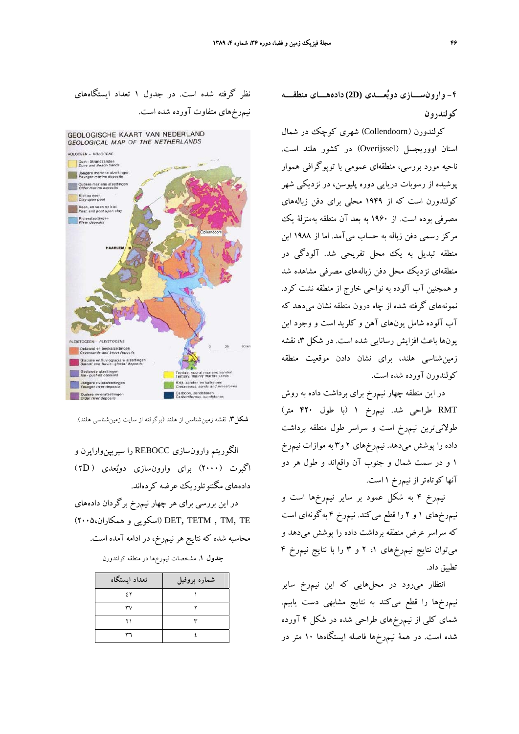**-4 وارونســـازي دوبعـــدي (D2(دادههـــاي منطقـــه كولندرون**

كولندورن (Collendoorn (شهري كوچك در شمال استان اووريجسل (Overijssel (در كشور هلند است. ناحيه مورد بررسي، منطقهاي عمومي با توپوگرافي هموار پوشيده از رسوبات دريايي دوره پليوسن، در نزديكي شهر كولندورن است كه از 1949 محلي براي دفن زبالههاي مصرفي بوده است. از 1960 به بعد آن منطقه بهمنزلة يك مركز رسمي دفن زباله به حساب ميآمد. اما از 1988 اين منطقه تبديل به يك محل تفريحي شد. آلودگي در منطقهاي نزديك محل دفن زبالههاي مصرفي مشاهده شد و همچنين آب آلوده به نواحي خارج از منطقه نشت كرد. نمونههاي گرفته شده از چاه درون منطقه نشان ميدهد كه آب آلوده شامل يونهاي آهن و كلريد است و وجود اين يونها باعث افزايش رسانايي شده است. در شكل ۴، نقشه زمينشناسي هلند، براي نشان دادن موقعيت منطقه كولندورن آورده شده است.

در اين منطقه چهار نيمرخ براي برداشت داده به روش RMT طراحي شد. نيمرخ 1 (با طول 420 متر) طولانيترين نيمرخ است و سراسر طول منطقه برداشت داده را پوشش ميدهد. نيمرخهاي 2 و3 به موازات نيمرخ 1 و در سمت شمال و جنوب آن واقعاند و طول هر دو آنها كوتاهتر از نيمرخ 1 است.

نيمرخ 4 به شكل عمود بر ساير نيمرخها است و نيمرخهاي 1 و 2 را قطع ميكند. نيمرخ 4 بهگونهاي است كه سراسر عرض منطقه برداشت داده را پوشش ميدهد و ميتوان نتايج نيمرخهاي ،1 2 و 3 را با نتايج نيمرخ 4 تطبيق داد.

انتظار ميرود در محلهايي كه اين نيمرخ ساير نيمرخها را قطع ميكند به نتايج مشابهي دست يابيم. شماي كلي از نيمرخهاي طراحي شده در شكل 4 آورده شده است. در همة نيمرخها فاصله ايستگاهها 10 متر در





**شكل.3** نقشه زمينشناسي از هلند (برگرفته از سايت زمينشناسي هلند).

الگوريتم وارونسازي REBOCC را سيريپنواراپرن و اگبرت (2000) براي وارونسازي دوبعدي ( D2 ( دادههاي مگنتوتلوريك عرضه كردهاند.

در اين بررسي براي هر چهار نيمرخ برگردان دادههاي (2005،همكاران و اسكويي (DET, TETM , TM, TE محاسبه شده كه نتايج هرنيمرخ، در ادامه آمده است.

|  |  |  |  | <b>جدول ۱</b> . مشخصات نیم٬خها در منطقه کولندورن. |  |  |
|--|--|--|--|---------------------------------------------------|--|--|
|--|--|--|--|---------------------------------------------------|--|--|

| تعداد أيستگاه  | شماره پروفیل |
|----------------|--------------|
| 5 <sup>x</sup> |              |
| ٣٧             |              |
| ۲۱             |              |
|                |              |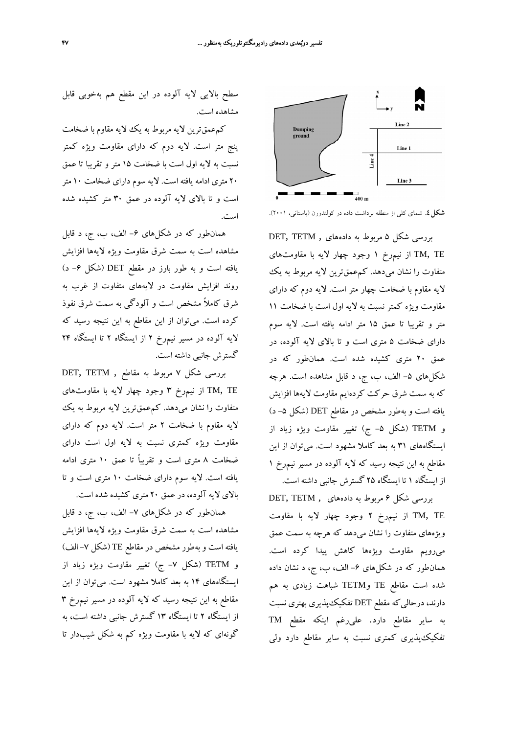

**شكل.4** شماي كلي از منطقه برداشت داده در كولندورن (باستاني، 2001).

بررسي شكل 5 مربوط به دادههاي , TETM ,DET TE ,TM از نيمرخ 1 وجود چهار لايه با مقاومتهاي متفاوت را نشان ميدهد. كمعمقترين لايه مربوط به يك لايه مقاوم با ضخامت چهار متر است. لايه دوم كه داراي مقاومت ويژه كمتر نسبت به لايه اول است با ضخامت 11 متر و تقريبا تا عمق 15 متر ادامه يافته است. لايه سوم داراي ضخامت 5 متري است و تا بالاي لايه آلوده، در عمق 20 متري كشيده شده است. همانطور كه در شكلهاي ۵- الف، ب، ج، د قابل مشاهده است. هرچه كه به سمت شرق حركت كردهايم مقاومت لايهها افزايش يافته است و بهطور مشخص در مقاطع DET (شكل ۵– د) و TETM) شكل -5 ج) تغيير مقاومت ويژه زياد از ايستگاههاي 31 به بعد كاملا مشهود است. ميتوان از اين مقاطع به اين نتيجه رسيد كه لايه آلوده در مسير نيمرخ 1 از ايستگاه 1 تا ايستگاه 25 گسترش جانبي داشته است.

بررسي شكل 6 مربوط به دادههاي , TETM ,DET TE ,TM از نيمرخ 2 وجود چهار لايه با مقاومت ويژههاي متفاوت را نشان ميدهد كه هرچه به سمت عمق ميرويم مقاومت ويژهها كاهش پيدا كرده است. همانطور كه در شكلهاى ۶– الف، ب، ج، د نشان داده شده است مقاطع TE وTETM شباهت زيادي به هم دارند، درحاليكه مقطع DET تفكيكپذيري بهتري نسبت به ساير مقاطع دارد. عليرغم اينكه مقطع TM تفكيكپذيري كمتري نسبت به ساير مقاطع دارد ولي

سطح بالايي لايه آلوده در اين مقطع هم بهخوبي قابل مشاهده است.

كمعمقترين لايه مربوط به يك لايه مقاوم با ضخامت پنج متر است. لايه دوم كه داراي مقاومت ويژه كمتر نسبت به لايه اول است با ضخامت 15 متر و تقريبا تا عمق 20 متري ادامه يافته است. لايه سوم داراي ضخامت 10 متر است و تا بالاي لايه آلوده در عمق 30 متر كشيده شده است.

همانطور كه در شكلهاي -6 الف، ب، ج، د قابل مشاهده است به سمت شرق مقاومت ويژه لايهها افزايش يافته است و به طور بارز در مقطع DET) شكل -6 د) روند افزايش مقاومت در لايههاي متفاوت از غرب به شرق كاملاً مشخص است و آلودگي به سمت شرق نفوذ كرده است. ميتوان از اين مقاطع به اين نتيجه رسيد كه لايه آلوده در مسير نيمرخ 2 از ايستگاه 2 تا ايستگاه 24 گسترش جانبي داشته است.

بررسي شكل 7 مربوط به مقاطع , TETM ,DET از نيم $\zeta$  وجود چهار لايه با مقاومتهاي TM, TE متفاوت را نشان ميدهد. كمعمقترين لايه مربوط به يك لايه مقاوم با ضخامت 2 متر است. لايه دوم كه داراي مقاومت ويژه كمتري نسبت به لايه اول است داراي ضخامت 8 متري است و تقريباً تا عمق 10 متري ادامه يافته است. لايه سوم داراي ضخامت 10 متري است و تا بالاي لايه آلوده، در عمق 20 متري كشيده شده است.

همانطور كه در شكلهاي -7 الف، ب، ج، د قابل مشاهده است به سمت شرق مقاومت ويژه لايهها افزايش يافته است و بهطور مشخص در مقاطع TE) شكل -7 الف) و TETM) شكل -7 ج) تغيير مقاومت ويژه زياد از ايستگاههاي 14 به بعد كاملا مشهود است. ميتوان از اين مقاطع به اين نتيجه رسيد كه لايه آلوده در مسير نيمرخ 3 از ايستگاه 2 تا ايستگاه 13 گسترش جانبي داشته است، به گونهاي كه لايه با مقاومت ويژه كم به شكل شيبدار تا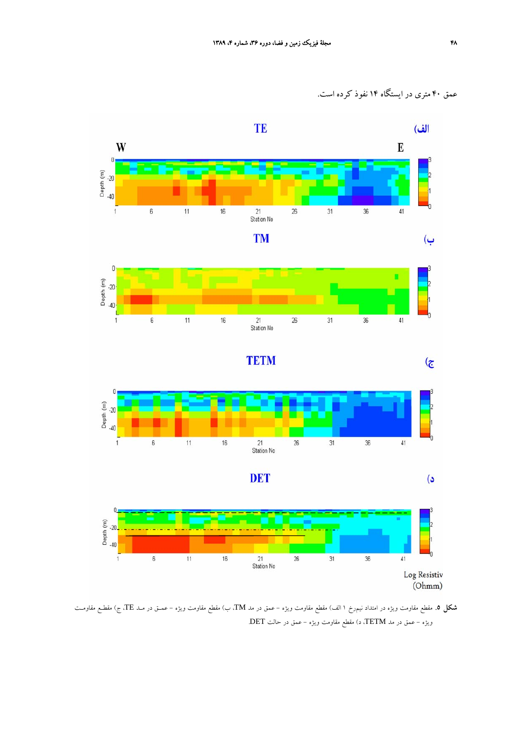عمق 40 متري در ايستگاه 14 نفوذ كرده است.



**شكل .5** مقطع مقاومت ويژه در امتداد نيمرخ 1 الف) مقطع مقاومت ويژه - عمق در مد TM، ب) مقطع مقاومت ويژه - عمـق در مـد TE، ج) مقطـع مقاومـت ويژه - عمق در مد TETM، د) مقطع مقاومت ويژه - عمق در حالت DET.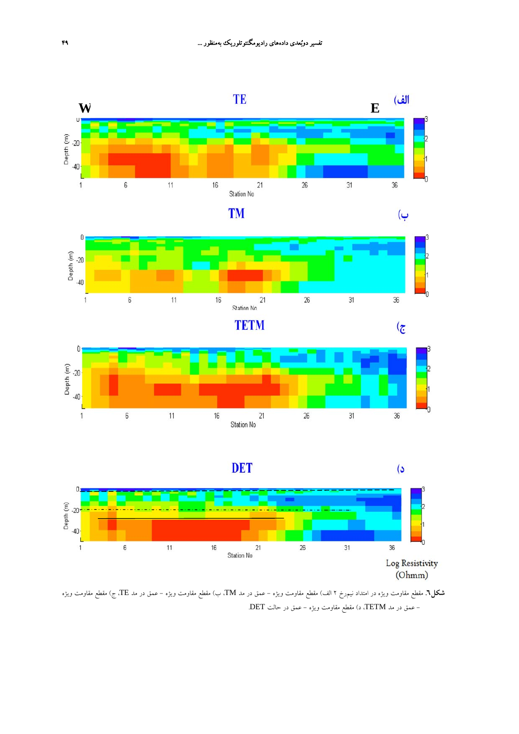







**شكل.6** مقطع مقاومت ويژه در امتداد نيمرخ 2 الف) مقطع مقاومت ويژه - عمق در مد TM، ب) مقطع مقاومت ويژه - عمق در مد TE، ج) مقطع مقاومت ويژه - عمق در مد TETM، د) مقطع مقاومت ويژه - عمق در حالت DET.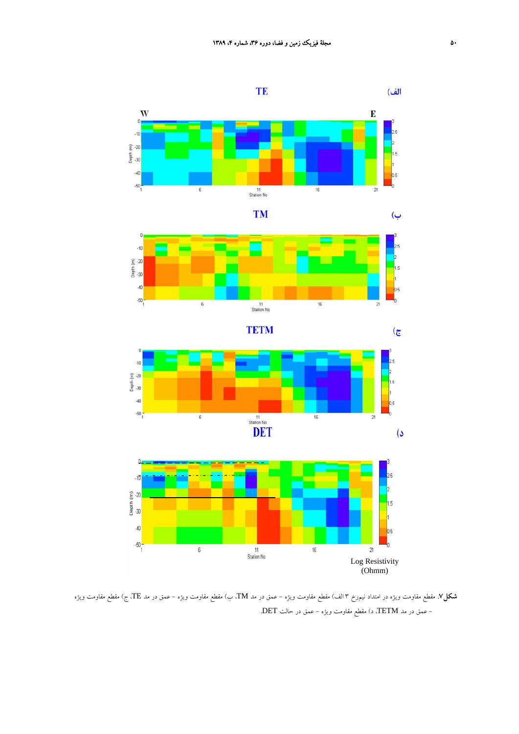











**شكل.7** مقطع مقاومت ويژه در امتداد نيمرخ 3 الف) مقطع مقاومت ويژه - عمق در مد TM، ب) مقطع مقاومت ويژه - عمق در مد TE، ج) مقطع مقاومت ويژه - عمق در مد TETM، د) مقطع مقاومت ويژه - عمق در حالت DET.

ب)

 $\mathbf{G}$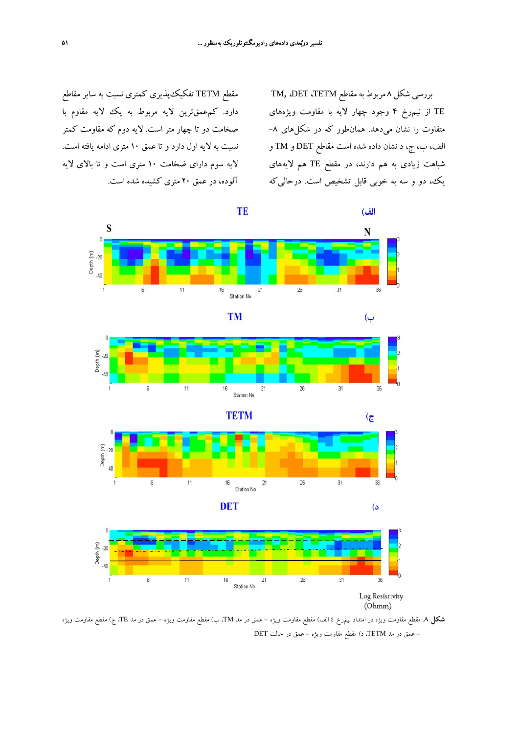مقطع TETM تفكيكپذيري كمتري نسبت به ساير مقاطع دارد. كمعمقترين لايه مربوط به يك لايه مقاوم با ضخامت دو تا چهار متر است. لايه دوم كه مقاومت كمتر نسبت به لايه اول دارد و تا عمق 10 متري ادامه يافته است. لايه سوم داراي ضخامت 10 متري است و تا بالاي لايه آلوده، در عمق 20 متري كشيده شده است.

بررسي شكل 8 مربوط بهمقاطع TETM، DET، ,TM TE از نيمرخ 4 وجود چهار لايه با مقاومت ويژههاي متفاوت را نشان ميدهد. همانطور كه در شكلهاي -8 الف، ب، ج، د نشان داده شده است مقاطع DET و TM و شباهت زيادي به هم دارند، در مقطع TE هم لايههاي يك، دو و سه به خوبي قابل تشخيص است. درحاليكه



**شكل .8** مقطع مقاومت ويژه در امتداد نيمرخ 4 الف) مقطع مقاومت ويژه - عمق در مد TM، ب) مقطع مقاومت ويژه - عمق در مد TE، ج) مقطع مقاومت ويژه - عمق در مد TETM، د) مقطع مقاومت ويژه - عمق در حالت DET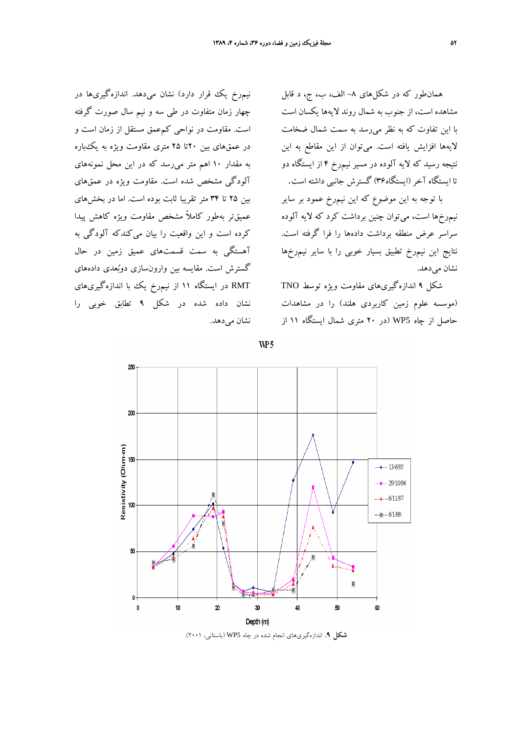همانطور كه در شكلهاي -8 الف، ب، ج، د قابل مشاهده است، از جنوب به شمال روند لايهها يكسان است با اين تفاوت كه به نظر ميرسد به سمت شمال ضخامت لايهها افزايش يافته است. ميتوان از اين مقاطع به اين نتيجه رسيد كه لايه آلوده در مسير نيمرخ 4 از ايستگاه دو تا ايستگاه آخر(ايستگاه36) گسترش جانبي داشته است.

با توجه به اين موضوع كه اين نيمرخ عمود بر ساير نيمرخها است، ميتوان چنين برداشت كرد كه لايه آلوده سراسر عرض منطقه برداشت دادهها را فرا گرفته است. نتايج اين نيمرخ تطبيق بسيار خوبي را با ساير نيمرخها نشان مي دهد.

شكل 9 اندازهگيريهاي مقاومت ويژه توسط TNO (موسسه علوم زمين كاربردي هلند) را در مشاهدات حاصل از چاه 5WP) در 20 متري شمال ايستگاه 11 از

نيمرخ يك قرار دارد) نشان ميدهد. اندازهگيريها در چهار زمان متفاوت در طي سه و نيم سال صورت گرفته است. مقاومت در نواحي كمعمق مستقل از زمان است و در عمقهاي بين 20تا 25 متري مقاومت ويژه به يكباره به مقدار 10 اهم متر ميرسد كه در اين محل نمونههاي آلودگي مشخص شده است. مقاومت ويژه در عمقهاي بين 25 تا 34 متر تقريبا ثابت بوده است. اما در بخشهاي عميقتر بهطور كاملاً مشخص مقاومت ويژه كاهش پيدا كرده است و اين واقعيت را بيان ميكندكه آلودگي به آهستگي به سمت قسمتهاي عميق زمين در حال گسترش است. مقايسه بين وارونسازي دوبعدي دادههاي RMT در ايستگاه 11 از نيمرخ يك با اندازهگيريهاي نشان داده شده در شكل 9 تطابق خوبي را نشان مي دهد.



WP<sub>5</sub>

**شكل .9** اندازهگيريهاي انجام شده در چاه 5WP) باستاني، 2001).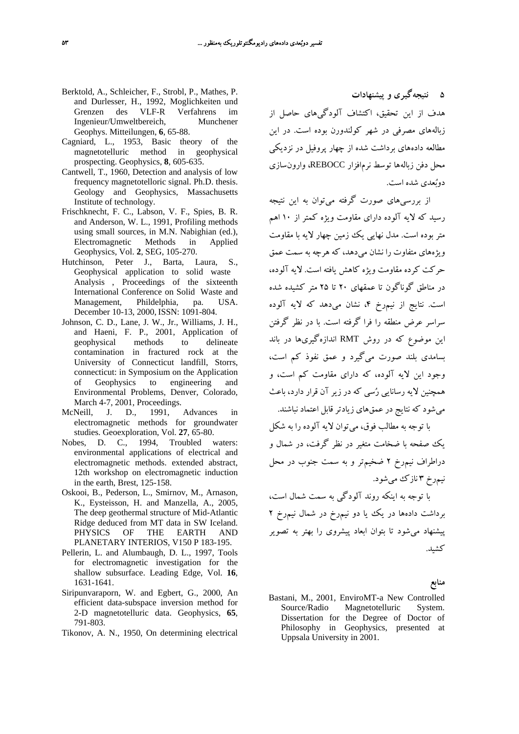- Berktold, A., Schleicher, F., Strobl, P., Mathes, P. and Durlesser, H., 1992, Moglichkeiten und Grenzen des VLF-R Verfahrens im Ingenieur/Umweltbereich, Munchener Geophys. Mitteilungen, **6**, 65-88.
- Cagniard, L., 1953, Basic theory of the magnetotelluric method in geophysical prospecting. Geophysics, **8**, 605-635.
- Cantwell, T., 1960, Detection and analysis of low frequency magnetotelloric signal. Ph.D. thesis. Geology and Geophysics, Massachusetts Institute of technology.
- Frischknecht, F. C., Labson, V. F., Spies, B. R. and Anderson, W. L., 1991, Profiling methods using small sources, in M.N. Nabighian (ed.), Electromagnetic Methods in Applied Geophysics, Vol. **2**, SEG, 105-270.
- Hutchinson, Peter J., Barta, Laura, S., Geophysical application to solid waste Analysis , Proceedings of the sixteenth International Conference on Solid Waste and Management, Phildelphia, pa. USA. December 10-13, 2000, ISSN: 1091-804.
- Johnson, C. D., Lane, J. W., Jr., Williams, J. H., and Haeni, F. P., 2001, Application of geophysical methods to delineate contamination in fractured rock at the University of Connecticut landfill, Storrs, connecticut: in Symposium on the Application of Geophysics to engineering and Environmental Problems, Denver, Colorado, March 4-7, 2001, Proceedings.
- McNeill, J. D., 1991, Advances in electromagnetic methods for groundwater studies. Geoexploration, Vol. **27**, 65-80.
- Nobes, D. C., 1994, Troubled waters: environmental applications of electrical and electromagnetic methods. extended abstract, 12th workshop on electromagnetic induction in the earth, Brest, 125-158.
- Oskooi, B., Pederson, L., Smirnov, M., Arnason, K., Eysteisson, H. and Manzella, A., 2005, The deep geothermal structure of Mid-Atlantic Ridge deduced from MT data in SW Iceland. PHYSICS OF THE EARTH AND PLANETARY INTERIOS, V150 P 183-195.
- Pellerin, L. and Alumbaugh, D. L., 1997, Tools for electromagnetic investigation for the shallow subsurface. Leading Edge, Vol. **16**, 1631-1641.
- Siripunvaraporn, W. and Egbert, G., 2000, An efficient data-subspace inversion method for 2-D magnetotelluric data. Geophysics, **65**, 791-803.
- Tikonov, A. N., 1950, On determining electrical

**5 نتيجهگيري و پيشنهادات**

هدف از اين تحقيق، اكتشاف آلودگيهاي حاصل از زبالههاي مصرفي در شهر كولندورن بوده است. در اين مطالعه دادههاي برداشت شده از چهار پروفيل در نزديكي محل دفن زبالهها توسط نرمافزار REBOCC، وارونسازي دوبعدي شده است.

از بررسيهاي صورت گرفته ميتوان به اين نتيجه رسيد كه لايه آلوده داراي مقاومت ويژه كمتر از 10 اهم متر بوده است. مدل نهايي يك زمين چهار لايه با مقاومت ويژههاي متفاوت را نشان ميدهد، كه هرچه به سمت عمق حركت كرده مقاومت ويژه كاهش يافته است. لايه آلوده، در مناطق گوناگون تا عمقهاي 20 تا 25 متر كشيده شده است. نتايج از نيمرخ ۴، نشان مي دهد كه لايه آلوده سراسر عرض منطقه را فرا گرفته است. با در نظر گرفتن اين موضوع كه در روش RMT اندازهگيريها در باند بسامدي بلند صورت ميگيرد و عمق نفوذ كم است، وجود اين لايه آلوده، كه داراي مقاومت كم است، و همچنين لايه رسانايي رسي كه در زير آن قرار دارد، باعث ميشود كه نتايج در عمقهاي زيادتر قابل اعتماد نباشند.

با توجه به مطالب فوق، ميتوان لايه آلوده را به شكل يك صفحه با ضخامت متغير در نظر گرفت، در شمال و دراطراف نيمرخ 2 ضخيمتر و به سمت جنوب در محل نيمرخ 3 نازك ميشود.

با توجه به اينكه روند آلودگي به سمت شمال است، برداشت دادهها در يك يا دو نيمرخ در شمال نيمرخ 2 پيشنهاد ميشود تا بتوان ابعاد پيشروي را بهتر به تصوير كشيد.

**منابع**

Bastani, M., 2001, EnviroMT-a New Controlled Source/Radio Magnetotelluric System. Dissertation for the Degree of Doctor of Philosophy in Geophysics, presented at Uppsala University in 2001.